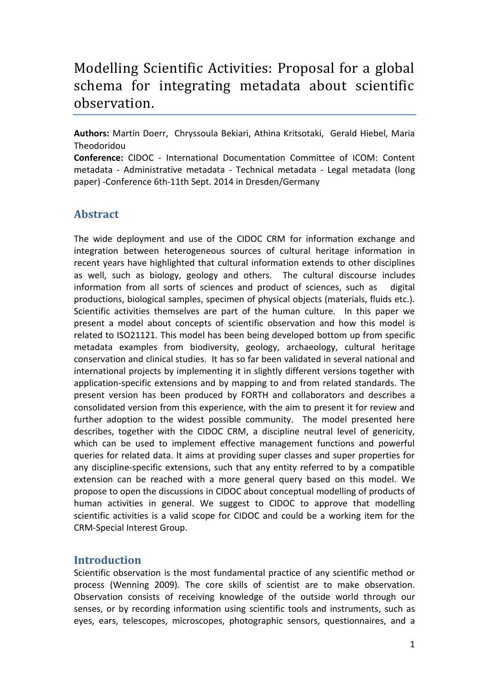# Modelling Scientific Activities: Proposal for a global schema for integrating metadata about scientific observation.

**Authors:** Martin Doerr, Chryssoula Bekiari, Athina Kritsotaki, Gerald Hiebel, Maria Theodoridou

**Conference:** CIDOC - International Documentation Committee of ICOM: Content metadata - Administrative metadata - Technical metadata - Legal metadata (long paper) -Conference 6th-11th Sept. 2014 in Dresden/Germany

## **Abstract**

The wide deployment and use of the CIDOC CRM for information exchange and integration between heterogeneous sources of cultural heritage information in recent years have highlighted that cultural information extends to other disciplines as well, such as biology, geology and others. The cultural discourse includes information from all sorts of sciences and product of sciences, such as digital productions, biological samples, specimen of physical objects (materials, fluids etc.). Scientific activities themselves are part of the human culture. In this paper we present a model about concepts of scientific observation and how this model is related to ISO21121. This model has been being developed bottom up from specific metadata examples from biodiversity, geology, archaeology, cultural heritage conservation and clinical studies. It has so far been validated in several national and international projects by implementing it in slightly different versions together with application-specific extensions and by mapping to and from related standards. The present version has been produced by FORTH and collaborators and describes a consolidated version from this experience, with the aim to present it for review and further adoption to the widest possible community. The model presented here describes, together with the CIDOC CRM, a discipline neutral level of genericity, which can be used to implement effective management functions and powerful queries for related data. It aims at providing super classes and super properties for any discipline-specific extensions, such that any entity referred to by a compatible extension can be reached with a more general query based on this model. We propose to open the discussions in CIDOC about conceptual modelling of products of human activities in general. We suggest to CIDOC to approve that modelling scientific activities is a valid scope for CIDOC and could be a working item for the CRM-Special Interest Group.

#### **Introduction**

Scientific observation is the most fundamental practice of any scientific method or process (Wenning 2009). The core skills of scientist are to make observation. Observation consists of receiving knowledge of the outside world through our senses, or by recording information using scientific tools and instruments, such as eyes, ears, telescopes, microscopes, photographic sensors, questionnaires, and a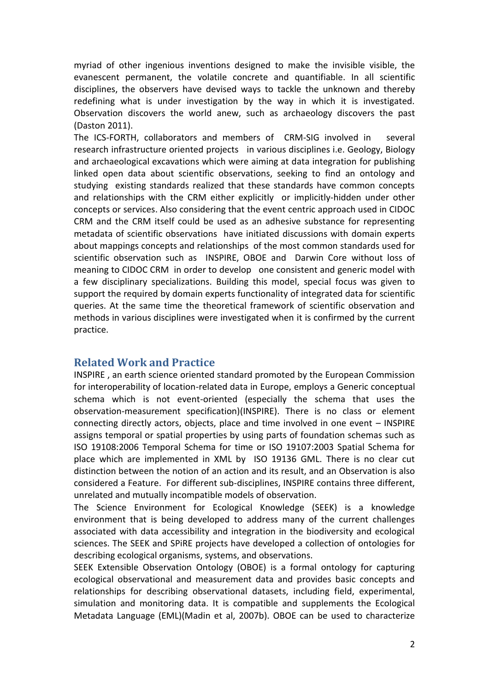myriad of other ingenious inventions designed to make the invisible visible, the evanescent permanent, the volatile concrete and quantifiable. In all scientific disciplines, the observers have devised ways to tackle the unknown and thereby redefining what is under investigation by the way in which it is investigated. Observation discovers the world anew, such as archaeology discovers the past (Daston 2011).

The ICS-FORTH, collaborators and members of CRM-SIG involved in several research infrastructure oriented projects in various disciplines i.e. Geology, Biology and archaeological excavations which were aiming at data integration for publishing linked open data about scientific observations, seeking to find an ontology and studying existing standards realized that these standards have common concepts and relationships with the CRM either explicitly or implicitly-hidden under other concepts or services. Also considering that the event centric approach used in CIDOC CRM and the CRM itself could be used as an adhesive substance for representing metadata of scientific observations have initiated discussions with domain experts about mappings concepts and relationships of the most common standards used for scientific observation such as INSPIRE, OBOE and Darwin Core without loss of meaning to CIDOC CRM in order to develop one consistent and generic model with a few disciplinary specializations. Building this model, special focus was given to support the required by domain experts functionality of integrated data for scientific queries. At the same time the theoretical framework of scientific observation and methods in various disciplines were investigated when it is confirmed by the current practice.

#### **Related Work and Practice**

INSPIRE , an earth science oriented standard promoted by the European Commission for interoperability of location-related data in Europe, employs a Generic conceptual schema which is not event-oriented (especially the schema that uses the observation-measurement specification)(INSPIRE). There is no class or element connecting directly actors, objects, place and time involved in one event – INSPIRE assigns temporal or spatial properties by using parts of foundation schemas such as ISO 19108:2006 Temporal Schema for time or ISO 19107:2003 Spatial Schema for place which are implemented in XML by ISO 19136 GML. There is no clear cut distinction between the notion of an action and its result, and an Observation is also considered a Feature. For different sub-disciplines, INSPIRE contains three different, unrelated and mutually incompatible models of observation.

The Science Environment for Ecological Knowledge (SEEK) is a knowledge environment that is being developed to address many of the current challenges associated with data accessibility and integration in the biodiversity and ecological sciences. The SEEK and SPiRE projects have developed a collection of ontologies for describing ecological organisms, systems, and observations.

SEEK Extensible Observation Ontology (OBOE) is a formal ontology for capturing ecological observational and measurement data and provides basic concepts and relationships for describing observational datasets, including field, experimental, simulation and monitoring data. It is compatible and supplements the Ecological Metadata Language (EML)(Madin et al, 2007b). OBOE can be used to characterize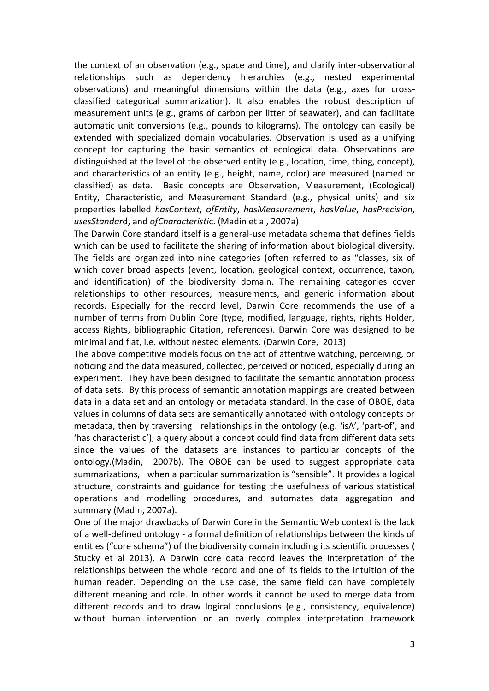the context of an observation (e.g., space and time), and clarify inter-observational relationships such as dependency hierarchies (e.g., nested experimental observations) and meaningful dimensions within the data (e.g., axes for crossclassified categorical summarization). It also enables the robust description of measurement units (e.g., grams of carbon per litter of seawater), and can facilitate automatic unit conversions (e.g., pounds to kilograms). The ontology can easily be extended with specialized domain vocabularies. Observation is used as a unifying concept for capturing the basic semantics of ecological data. Observations are distinguished at the level of the observed entity (e.g., location, time, thing, concept), and characteristics of an entity (e.g., height, name, color) are measured (named or classified) as data. Basic concepts are Observation, Measurement, (Ecological) Entity, Characteristic, and Measurement Standard (e.g., physical units) and six properties labelled *hasContext*, *ofEntity*, *hasMeasurement*, *hasValue*, *hasPrecision*, *usesStandar*d, and *ofCharacteristi*c. (Madin et al, 2007a)

The Darwin Core standard itself is a general-use metadata schema that defines fields which can be used to facilitate the sharing of information about biological diversity. The fields are organized into nine categories (often referred to as "classes, six of which cover broad aspects (event, location, geological context, occurrence, taxon, and identification) of the biodiversity domain. The remaining categories cover relationships to other resources, measurements, and generic information about records. Especially for the record level, Darwin Core recommends the use of a number of terms from Dublin Core (type, modified, language, rights, rights Holder, access Rights, bibliographic Citation, references). Darwin Core was designed to be minimal and flat, i.e. without nested elements. (Darwin Core, 2013)

The above competitive models focus on the act of attentive watching, perceiving, or noticing and the data measured, collected, perceived or noticed, especially during an experiment. They have been designed to facilitate the semantic annotation process of data sets. By this process of semantic annotation mappings are created between data in a data set and an ontology or metadata standard. In the case of OBOE, data values in columns of data sets are semantically annotated with ontology concepts or metadata, then by traversing relationships in the ontology (e.g. 'isA', 'part-of', and 'has characteristic'), a query about a concept could find data from different data sets since the values of the datasets are instances to particular concepts of the ontology.(Madin, 2007b). The OBOE can be used to suggest appropriate data summarizations, when a particular summarization is "sensible". It provides a logical structure, constraints and guidance for testing the usefulness of various statistical operations and modelling procedures, and automates data aggregation and summary (Madin, 2007a).

One of the major drawbacks of Darwin Core in the Semantic Web context is the lack of a well-defined ontology - a formal definition of relationships between the kinds of entities ("core schema") of the biodiversity domain including its scientific processes ( Stucky et al 2013). A Darwin core data record leaves the interpretation of the relationships between the whole record and one of its fields to the intuition of the human reader. Depending on the use case, the same field can have completely different meaning and role. In other words it cannot be used to merge data from different records and to draw logical conclusions (e.g., consistency, equivalence) without human intervention or an overly complex interpretation framework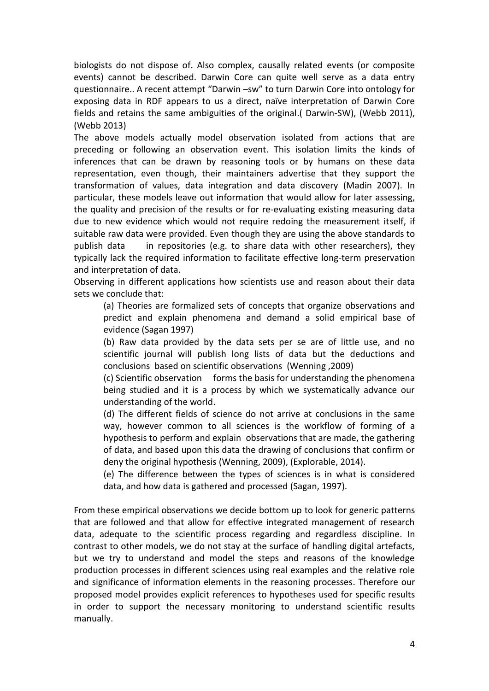biologists do not dispose of. Also complex, causally related events (or composite events) cannot be described. Darwin Core can quite well serve as a data entry questionnaire.. A recent attempt "Darwin –sw" to turn Darwin Core into ontology for exposing data in RDF appears to us a direct, naïve interpretation of Darwin Core fields and retains the same ambiguities of the original.( Darwin-SW), (Webb 2011), (Webb 2013)

The above models actually model observation isolated from actions that are preceding or following an observation event. This isolation limits the kinds of inferences that can be drawn by reasoning tools or by humans on these data representation, even though, their maintainers advertise that they support the transformation of values, data integration and data discovery (Madin 2007). In particular, these models leave out information that would allow for later assessing, the quality and precision of the results or for re-evaluating existing measuring data due to new evidence which would not require redoing the measurement itself, if suitable raw data were provided. Even though they are using the above standards to publish data in repositories (e.g. to share data with other researchers), they typically lack the required information to facilitate effective long-term preservation and interpretation of data.

Observing in different applications how scientists use and reason about their data sets we conclude that:

(a) Theories are formalized sets of concepts that organize observations and predict and explain phenomena and demand a solid empirical base of evidence (Sagan 1997)

(b) Raw data provided by the data sets per se are of little use, and no scientific journal will publish long lists of data but the deductions and conclusions based on scientific observations (Wenning ,2009)

(c) Scientific observation forms the basis for understanding the phenomena being studied and it is a process by which we systematically advance our understanding of the world.

(d) The different fields of science do not arrive at conclusions in the same way, however common to all sciences is the workflow of forming of a hypothesis to perform and explain observations that are made, the gathering of data, and based upon this data the drawing of conclusions that confirm or deny the original hypothesis (Wenning, 2009), (Explorable, 2014).

(e) The difference between the types of sciences is in what is considered data, and how data is gathered and processed (Sagan, 1997).

From these empirical observations we decide bottom up to look for generic patterns that are followed and that allow for effective integrated management of research data, adequate to the scientific process regarding and regardless discipline. In contrast to other models, we do not stay at the surface of handling digital artefacts, but we try to understand and model the steps and reasons of the knowledge production processes in different sciences using real examples and the relative role and significance of information elements in the reasoning processes. Therefore our proposed model provides explicit references to hypotheses used for specific results in order to support the necessary monitoring to understand scientific results manually.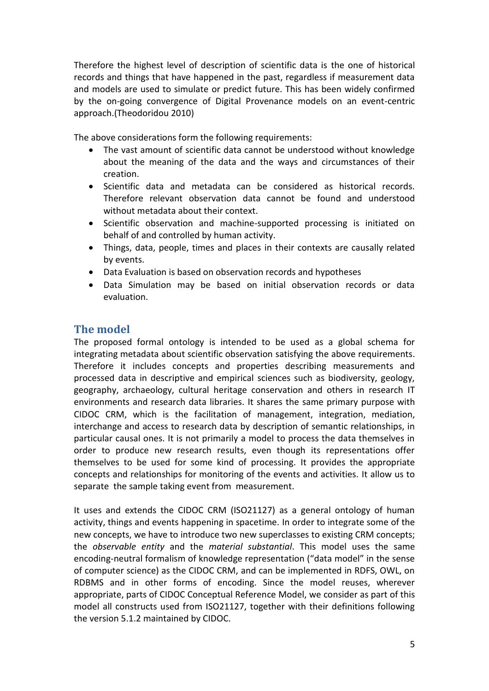Therefore the highest level of description of scientific data is the one of historical records and things that have happened in the past, regardless if measurement data and models are used to simulate or predict future. This has been widely confirmed by the on-going convergence of Digital Provenance models on an event-centric approach.(Theodoridou 2010)

The above considerations form the following requirements:

- The vast amount of scientific data cannot be understood without knowledge about the meaning of the data and the ways and circumstances of their creation.
- Scientific data and metadata can be considered as historical records. Therefore relevant observation data cannot be found and understood without metadata about their context.
- Scientific observation and machine-supported processing is initiated on behalf of and controlled by human activity.
- Things, data, people, times and places in their contexts are causally related by events.
- Data Evaluation is based on observation records and hypotheses
- Data Simulation may be based on initial observation records or data evaluation.

### **The model**

The proposed formal ontology is intended to be used as a global schema for integrating metadata about scientific observation satisfying the above requirements. Therefore it includes concepts and properties describing measurements and processed data in descriptive and empirical sciences such as biodiversity, geology, geography, archaeology, cultural heritage conservation and others in research IT environments and research data libraries. It shares the same primary purpose with CIDOC CRM, which is the facilitation of management, integration, mediation, interchange and access to research data by description of semantic relationships, in particular causal ones. It is not primarily a model to process the data themselves in order to produce new research results, even though its representations offer themselves to be used for some kind of processing. It provides the appropriate concepts and relationships for monitoring of the events and activities. It allow us to separate the sample taking event from measurement.

It uses and extends the CIDOC CRM (ISO21127) as a general ontology of human activity, things and events happening in spacetime. In order to integrate some of the new concepts, we have to introduce two new superclasses to existing CRM concepts; the *observable entity* and the *material substantial*. This model uses the same encoding-neutral formalism of knowledge representation ("data model" in the sense of computer science) as the CIDOC CRM, and can be implemented in RDFS, OWL, on RDBMS and in other forms of encoding. Since the model reuses, wherever appropriate, parts of CIDOC Conceptual Reference Model, we consider as part of this model all constructs used from ISO21127, together with their definitions following the version 5.1.2 maintained by CIDOC.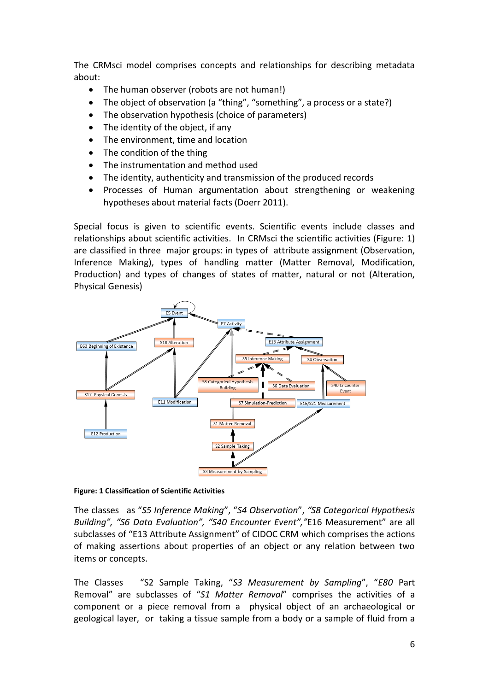The CRMsci model comprises concepts and relationships for describing metadata about:

- The human observer (robots are not human!)
- The object of observation (a "thing", "something", a process or a state?)
- The observation hypothesis (choice of parameters)
- The identity of the object, if any
- The environment, time and location
- The condition of the thing
- The instrumentation and method used
- The identity, authenticity and transmission of the produced records
- Processes of Human argumentation about strengthening or weakening hypotheses about material facts (Doerr 2011).

Special focus is given to scientific events. Scientific events include classes and relationships about scientific activities. In CRMsci the scientific activities (Figure: 1) are classified in three major groups: in types of attribute assignment (Observation, Inference Making), types of handling matter (Matter Removal, Modification, Production) and types of changes of states of matter, natural or not (Alteration, Physical Genesis)



**Figure: 1 Classification of Scientific Activities** 

The classes as "*S5 Inference Making*", "*S4 Observation*", *"S8 Categorical Hypothesis Building", "S6 Data Evaluation", "S40 Encounter Event","*E16 Measurement" are all subclasses of "E13 Attribute Assignment" of CIDOC CRM which comprises the actions of making assertions about properties of an object or any relation between two items or concepts.

The Classes "S2 Sample Taking, "*S3 Measurement by Sampling*", "*E80* Part Removal" are subclasses of "*S1 Matter Removal*" comprises the activities of a component or a piece removal from a physical object of an archaeological or geological layer, or taking a tissue sample from a body or a sample of fluid from a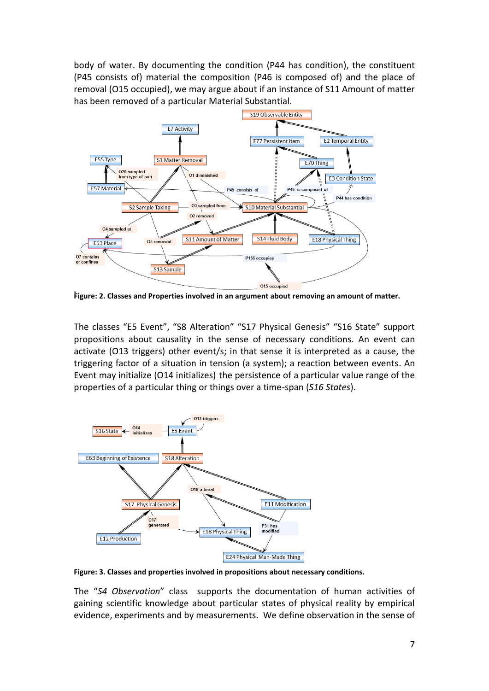body of water. By documenting the condition (P44 has condition), the constituent (P45 consists of) material the composition (P46 is composed of) and the place of removal (O15 occupied), we may argue about if an instance of S11 Amount of matter has been removed of a particular Material Substantial.



**Figure: 2. Classes and Properties involved in an argument about removing an amount of matter.**

The classes "E5 Event", "S8 Alteration" "S17 Physical Genesis" "S16 State" support propositions about causality in the sense of necessary conditions. An event can activate (O13 triggers) other event/s; in that sense it is interpreted as a cause, the triggering factor of a situation in tension (a system); a reaction between events. An Event may initialize (O14 initializes) the persistence of a particular value range of the properties of a particular thing or things over a time-span (*S16 States*).



**Figure: 3. Classes and properties involved in propositions about necessary conditions.**

The "*S4 Observation*" class supports the documentation of human activities of gaining scientific knowledge about particular states of physical reality by empirical evidence, experiments and by measurements. We define observation in the sense of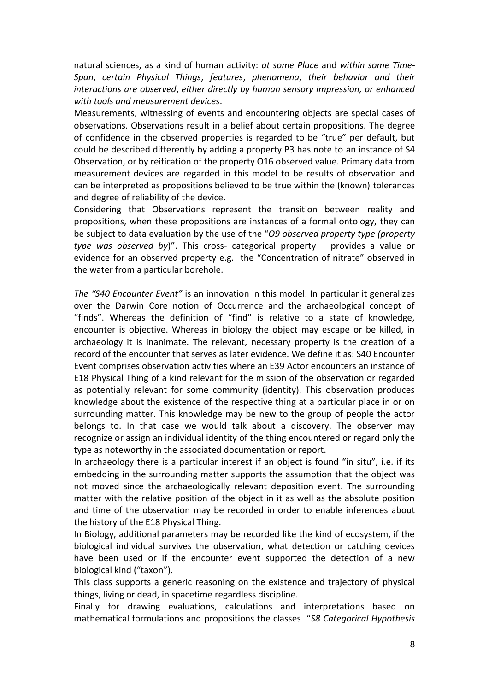natural sciences, as a kind of human activity: *at some Place* and *within some Time-Span*, *certain Physical Things*, *features*, *phenomena*, *their behavior and their interactions are observed*, *either directly by human sensory impression, or enhanced with tools and measurement devices*.

Measurements, witnessing of events and encountering objects are special cases of observations. Observations result in a belief about certain propositions. The degree of confidence in the observed properties is regarded to be "true" per default, but could be described differently by adding a property P3 has note to an instance of S4 Observation, or by reification of the property O16 observed value. Primary data from measurement devices are regarded in this model to be results of observation and can be interpreted as propositions believed to be true within the (known) tolerances and degree of reliability of the device.

Considering that Observations represent the transition between reality and propositions, when these propositions are instances of a formal ontology, they can be subject to data evaluation by the use of the "*O9 observed property type (property type was observed by*)". This cross- categorical property provides a value or evidence for an observed property e.g. the "Concentration of nitrate" observed in the water from a particular borehole.

*The "S40 Encounter Event"* is an innovation in this model. In particular it generalizes over the Darwin Core notion of Occurrence and the archaeological concept of "finds". Whereas the definition of "find" is relative to a state of knowledge, encounter is objective. Whereas in biology the object may escape or be killed, in archaeology it is inanimate. The relevant, necessary property is the creation of a record of the encounter that serves as later evidence. We define it as: S40 Encounter Event comprises observation activities where an E39 Actor encounters an instance of E18 Physical Thing of a kind relevant for the mission of the observation or regarded as potentially relevant for some community (identity). This observation produces knowledge about the existence of the respective thing at a particular place in or on surrounding matter. This knowledge may be new to the group of people the actor belongs to. In that case we would talk about a discovery. The observer may recognize or assign an individual identity of the thing encountered or regard only the type as noteworthy in the associated documentation or report.

In archaeology there is a particular interest if an object is found "in situ", i.e. if its embedding in the surrounding matter supports the assumption that the object was not moved since the archaeologically relevant deposition event. The surrounding matter with the relative position of the object in it as well as the absolute position and time of the observation may be recorded in order to enable inferences about the history of the E18 Physical Thing.

In Biology, additional parameters may be recorded like the kind of ecosystem, if the biological individual survives the observation, what detection or catching devices have been used or if the encounter event supported the detection of a new biological kind ("taxon").

This class supports a generic reasoning on the existence and trajectory of physical things, living or dead, in spacetime regardless discipline.

Finally for drawing evaluations, calculations and interpretations based on mathematical formulations and propositions the classes "*S8 Categorical Hypothesis*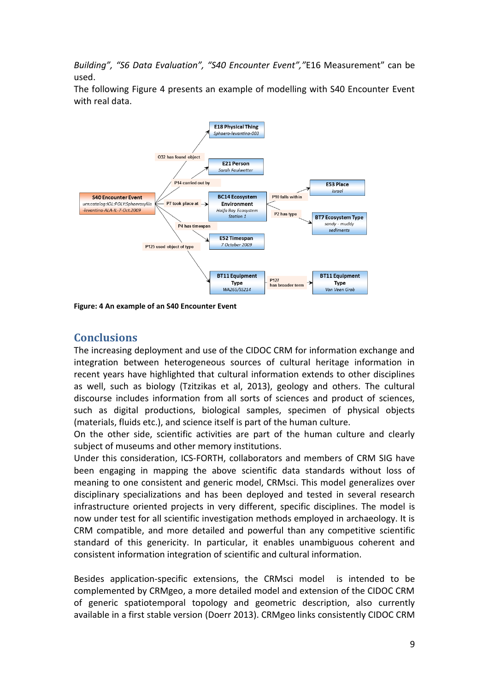*Building", "S6 Data Evaluation", "S40 Encounter Event","*E16 Measurement" can be used.

The following Figure 4 presents an example of modelling with S40 Encounter Event with real data.



**Figure: 4 An example of an S40 Encounter Event**

### **Conclusions**

The increasing deployment and use of the CIDOC CRM for information exchange and integration between heterogeneous sources of cultural heritage information in recent years have highlighted that cultural information extends to other disciplines as well, such as biology (Tzitzikas et al, 2013), geology and others. The cultural discourse includes information from all sorts of sciences and product of sciences, such as digital productions, biological samples, specimen of physical objects (materials, fluids etc.), and science itself is part of the human culture.

On the other side, scientific activities are part of the human culture and clearly subject of museums and other memory institutions.

Under this consideration, ICS-FORTH, collaborators and members of CRM SIG have been engaging in mapping the above scientific data standards without loss of meaning to one consistent and generic model, CRMsci. This model generalizes over disciplinary specializations and has been deployed and tested in several research infrastructure oriented projects in very different, specific disciplines. The model is now under test for all scientific investigation methods employed in archaeology. It is CRM compatible, and more detailed and powerful than any competitive scientific standard of this genericity. In particular, it enables unambiguous coherent and consistent information integration of scientific and cultural information.

Besides application-specific extensions, the CRMsci model is intended to be complemented by CRMgeo, a more detailed model and extension of the CIDOC CRM of generic spatiotemporal topology and geometric description, also currently available in a first stable version (Doerr 2013). CRMgeo links consistently CIDOC CRM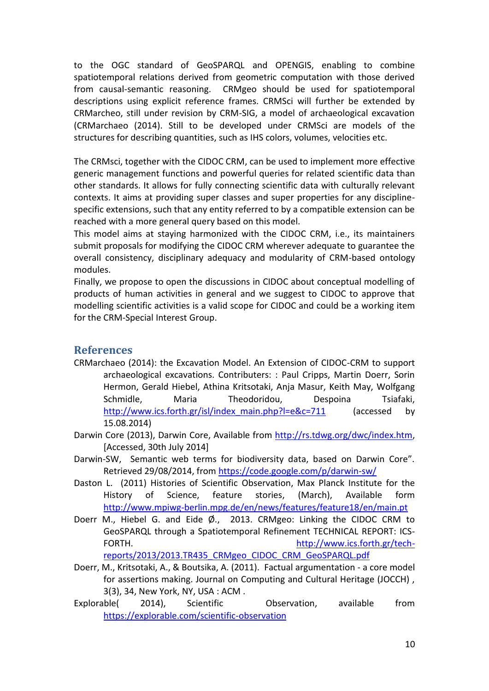to the OGC standard of GeoSPARQL and OPENGIS, enabling to combine spatiotemporal relations derived from geometric computation with those derived from causal-semantic reasoning. CRMgeo should be used for spatiotemporal descriptions using explicit reference frames. CRMSci will further be extended by CRMarcheo, still under revision by CRM-SIG, a model of archaeological excavation (CRMarchaeo (2014). Still to be developed under CRMSci are models of the structures for describing quantities, such as IHS colors, volumes, velocities etc.

The CRMsci, together with the CIDOC CRM, can be used to implement more effective generic management functions and powerful queries for related scientific data than other standards. It allows for fully connecting scientific data with culturally relevant contexts. It aims at providing super classes and super properties for any disciplinespecific extensions, such that any entity referred to by a compatible extension can be reached with a more general query based on this model.

This model aims at staying harmonized with the CIDOC CRM, i.e., its maintainers submit proposals for modifying the CIDOC CRM wherever adequate to guarantee the overall consistency, disciplinary adequacy and modularity of CRM-based ontology modules.

Finally, we propose to open the discussions in CIDOC about conceptual modelling of products of human activities in general and we suggest to CIDOC to approve that modelling scientific activities is a valid scope for CIDOC and could be a working item for the CRM-Special Interest Group.

#### **References**

- CRMarchaeo (2014): the Excavation Model. An Extension of CIDOC-CRM to support archaeological excavations. Contributers: : Paul Cripps, Martin Doerr, Sorin Hermon, Gerald Hiebel, Athina Kritsotaki, Anja Masur, Keith May, Wolfgang Schmidle, Maria Theodoridou, Despoina Tsiafaki, [http://www.ics.forth.gr/isl/index\\_main.php?l=e&c=711](http://www.ics.forth.gr/isl/index_main.php?l=e&c=711) (accessed by 15.08.2014)
- Darwin Core (2013), Darwin Core, Available from [http://rs.tdwg.org/dwc/index.htm,](http://rs.tdwg.org/dwc/index.htm) [Accessed, 30th July 2014]
- Darwin-SW, Semantic web terms for biodiversity data, based on Darwin Core". Retrieved 29/08/2014, from<https://code.google.com/p/darwin-sw/>
- Daston L. (2011) Histories of Scientific Observation, Max Planck Institute for the History of Science, feature stories, (March), Available form <http://www.mpiwg-berlin.mpg.de/en/news/features/feature18/en/main.pt>
- Doerr M., Hiebel G. and Eide Ø., 2013. CRMgeo: Linking the CIDOC CRM to GeoSPARQL through a Spatiotemporal Refinement TECHNICAL REPORT: ICS-FORTH. [http://www.ics.forth.gr/tech](http://www.ics.forth.gr/tech-reports/2013/2013.TR435_CRMgeo_CIDOC_CRM_GeoSPARQL.pdf)[reports/2013/2013.TR435\\_CRMgeo\\_CIDOC\\_CRM\\_GeoSPARQL.pdf](http://www.ics.forth.gr/tech-reports/2013/2013.TR435_CRMgeo_CIDOC_CRM_GeoSPARQL.pdf)
- Doerr, M., Kritsotaki, A., & Boutsika, A. (2011). Factual argumentation a core model for assertions making. Journal on Computing and Cultural Heritage (JOCCH) , 3(3), 34, New York, NY, USA : ACM .
- Explorable( 2014), Scientific Observation, available from <https://explorable.com/scientific-observation>